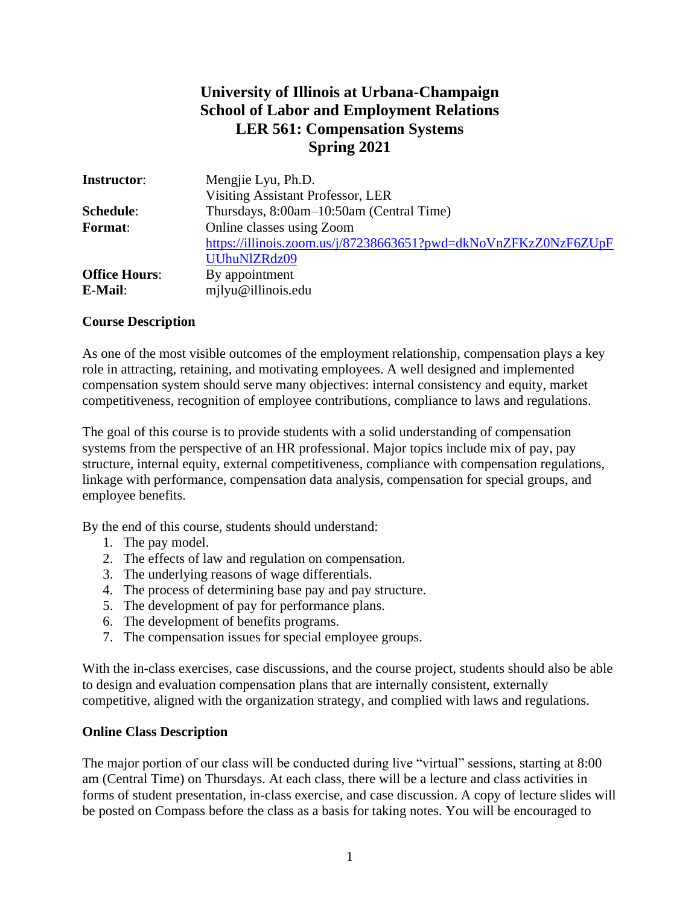# **University of Illinois at Urbana-Champaign School of Labor and Employment Relations LER 561: Compensation Systems Spring 2021**

| <b>Instructor:</b>   | Mengjie Lyu, Ph.D.                                              |
|----------------------|-----------------------------------------------------------------|
|                      | Visiting Assistant Professor, LER                               |
| Schedule:            | Thursdays, 8:00am-10:50am (Central Time)                        |
| <b>Format:</b>       | Online classes using Zoom                                       |
|                      | https://illinois.zoom.us/j/87238663651?pwd=dkNoVnZFKzZ0NzF6ZUpF |
|                      | UUhuNIZRdz09                                                    |
| <b>Office Hours:</b> | By appointment                                                  |
| E-Mail:              | milyu@illinois.edu                                              |

#### **Course Description**

As one of the most visible outcomes of the employment relationship, compensation plays a key role in attracting, retaining, and motivating employees. A well designed and implemented compensation system should serve many objectives: internal consistency and equity, market competitiveness, recognition of employee contributions, compliance to laws and regulations.

The goal of this course is to provide students with a solid understanding of compensation systems from the perspective of an HR professional. Major topics include mix of pay, pay structure, internal equity, external competitiveness, compliance with compensation regulations, linkage with performance, compensation data analysis, compensation for special groups, and employee benefits.

By the end of this course, students should understand:

- 1. The pay model.
- 2. The effects of law and regulation on compensation.
- 3. The underlying reasons of wage differentials.
- 4. The process of determining base pay and pay structure.
- 5. The development of pay for performance plans.
- 6. The development of benefits programs.
- 7. The compensation issues for special employee groups.

With the in-class exercises, case discussions, and the course project, students should also be able to design and evaluation compensation plans that are internally consistent, externally competitive, aligned with the organization strategy, and complied with laws and regulations.

#### **Online Class Description**

The major portion of our class will be conducted during live "virtual" sessions, starting at 8:00 am (Central Time) on Thursdays. At each class, there will be a lecture and class activities in forms of student presentation, in-class exercise, and case discussion. A copy of lecture slides will be posted on Compass before the class as a basis for taking notes. You will be encouraged to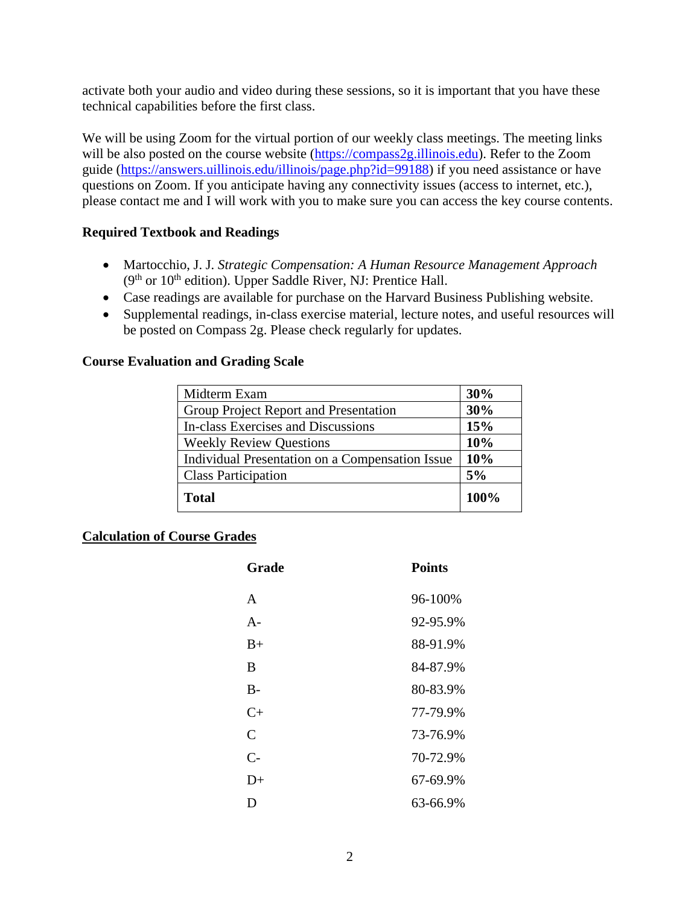activate both your audio and video during these sessions, so it is important that you have these technical capabilities before the first class.

We will be using Zoom for the virtual portion of our weekly class meetings. The meeting links will be also posted on the course website [\(https://compass2g.illinois.edu\)](https://compass2g.illinois.edu/). Refer to the Zoom guide [\(https://answers.uillinois.edu/illinois/page.php?id=99188\)](https://answers.uillinois.edu/illinois/page.php?id=99188) if you need assistance or have questions on Zoom. If you anticipate having any connectivity issues (access to internet, etc.), please contact me and I will work with you to make sure you can access the key course contents.

#### **Required Textbook and Readings**

- Martocchio, J. J. *Strategic Compensation: A Human Resource Management Approach*  (9<sup>th</sup> or 10<sup>th</sup> edition). Upper Saddle River, NJ: Prentice Hall.
- Case readings are available for purchase on the Harvard Business Publishing website.
- Supplemental readings, in-class exercise material, lecture notes, and useful resources will be posted on Compass 2g. Please check regularly for updates.

#### **Course Evaluation and Grading Scale**

| Midterm Exam                                    | 30%  |
|-------------------------------------------------|------|
| Group Project Report and Presentation           | 30%  |
| In-class Exercises and Discussions              | 15%  |
| <b>Weekly Review Questions</b>                  | 10%  |
| Individual Presentation on a Compensation Issue | 10%  |
| <b>Class Participation</b>                      | 5%   |
| <b>Total</b>                                    | 100% |

## **Calculation of Course Grades**

| Grade          | <b>Points</b> |
|----------------|---------------|
| $\mathsf{A}$   | 96-100%       |
| $A -$          | 92-95.9%      |
| $B+$           | 88-91.9%      |
| B              | 84-87.9%      |
| $B-$           | 80-83.9%      |
| $C_{\pm}$      | 77-79.9%      |
| $\overline{C}$ | 73-76.9%      |
| $C-$           | 70-72.9%      |
| $D+$           | 67-69.9%      |
| Ð              | 63-66.9%      |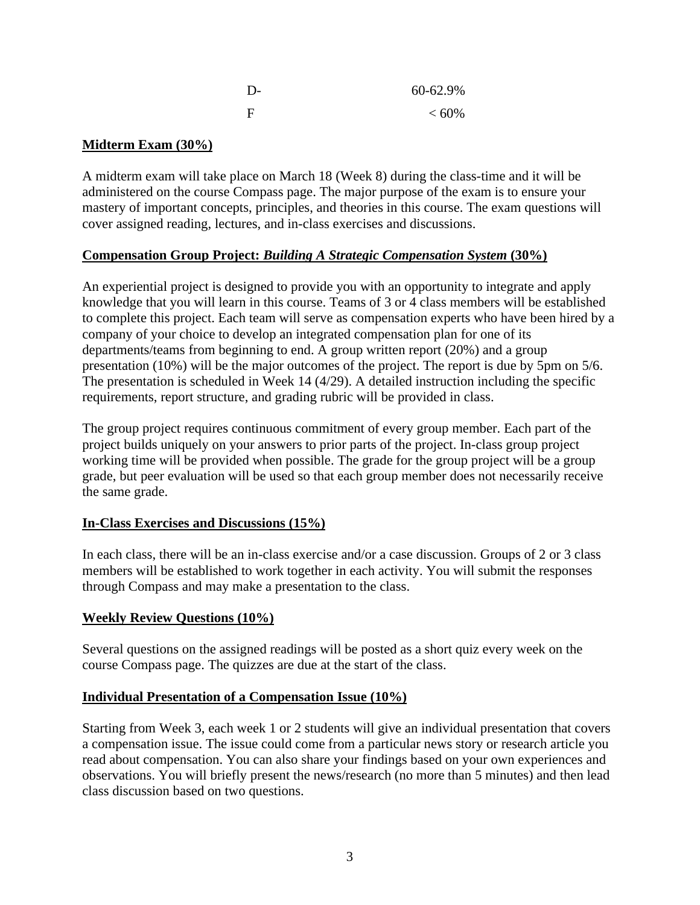| $\mathbf{D}$ | 60-62.9%   |
|--------------|------------|
| $\mathbf F$  | ${}< 60\%$ |

## **Midterm Exam (30%)**

A midterm exam will take place on March 18 (Week 8) during the class-time and it will be administered on the course Compass page. The major purpose of the exam is to ensure your mastery of important concepts, principles, and theories in this course. The exam questions will cover assigned reading, lectures, and in-class exercises and discussions.

## **Compensation Group Project:** *Building A Strategic Compensation System* **(30%)**

An experiential project is designed to provide you with an opportunity to integrate and apply knowledge that you will learn in this course. Teams of 3 or 4 class members will be established to complete this project. Each team will serve as compensation experts who have been hired by a company of your choice to develop an integrated compensation plan for one of its departments/teams from beginning to end. A group written report (20%) and a group presentation (10%) will be the major outcomes of the project. The report is due by 5pm on 5/6. The presentation is scheduled in Week 14 (4/29). A detailed instruction including the specific requirements, report structure, and grading rubric will be provided in class.

The group project requires continuous commitment of every group member. Each part of the project builds uniquely on your answers to prior parts of the project. In-class group project working time will be provided when possible. The grade for the group project will be a group grade, but peer evaluation will be used so that each group member does not necessarily receive the same grade.

## **In-Class Exercises and Discussions (15%)**

In each class, there will be an in-class exercise and/or a case discussion. Groups of 2 or 3 class members will be established to work together in each activity. You will submit the responses through Compass and may make a presentation to the class.

## **Weekly Review Questions (10%)**

Several questions on the assigned readings will be posted as a short quiz every week on the course Compass page. The quizzes are due at the start of the class.

## **Individual Presentation of a Compensation Issue (10%)**

Starting from Week 3, each week 1 or 2 students will give an individual presentation that covers a compensation issue. The issue could come from a particular news story or research article you read about compensation. You can also share your findings based on your own experiences and observations. You will briefly present the news/research (no more than 5 minutes) and then lead class discussion based on two questions.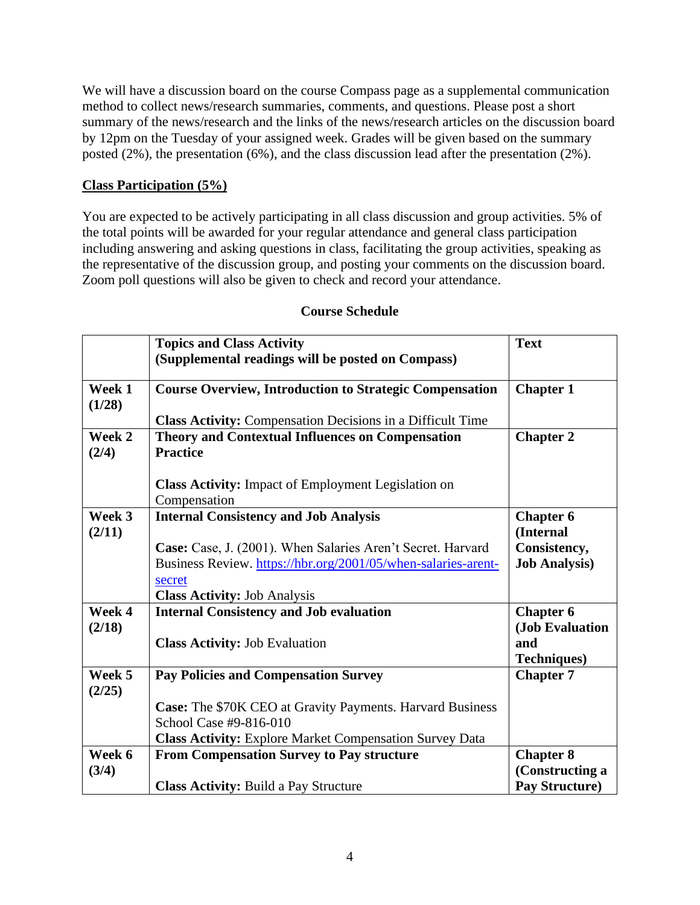We will have a discussion board on the course Compass page as a supplemental communication method to collect news/research summaries, comments, and questions. Please post a short summary of the news/research and the links of the news/research articles on the discussion board by 12pm on the Tuesday of your assigned week. Grades will be given based on the summary posted (2%), the presentation (6%), and the class discussion lead after the presentation (2%).

# **Class Participation (5%)**

You are expected to be actively participating in all class discussion and group activities. 5% of the total points will be awarded for your regular attendance and general class participation including answering and asking questions in class, facilitating the group activities, speaking as the representative of the discussion group, and posting your comments on the discussion board. Zoom poll questions will also be given to check and record your attendance.

|                  | <b>Topics and Class Activity</b>                                  | <b>Text</b>          |
|------------------|-------------------------------------------------------------------|----------------------|
|                  | (Supplemental readings will be posted on Compass)                 |                      |
|                  |                                                                   |                      |
| Week 1           | <b>Course Overview, Introduction to Strategic Compensation</b>    | <b>Chapter 1</b>     |
| (1/28)           | <b>Class Activity:</b> Compensation Decisions in a Difficult Time |                      |
| Week 2           | <b>Theory and Contextual Influences on Compensation</b>           | <b>Chapter 2</b>     |
| (2/4)            | <b>Practice</b>                                                   |                      |
|                  |                                                                   |                      |
|                  | <b>Class Activity:</b> Impact of Employment Legislation on        |                      |
|                  | Compensation                                                      |                      |
| Week 3           | <b>Internal Consistency and Job Analysis</b>                      | <b>Chapter 6</b>     |
| (2/11)           |                                                                   | (Internal            |
|                  | Case: Case, J. (2001). When Salaries Aren't Secret. Harvard       | Consistency,         |
|                  | Business Review. https://hbr.org/2001/05/when-salaries-arent-     | <b>Job Analysis)</b> |
|                  | secret                                                            |                      |
|                  | <b>Class Activity: Job Analysis</b>                               |                      |
| Week 4           | <b>Internal Consistency and Job evaluation</b>                    | <b>Chapter 6</b>     |
| (2/18)           |                                                                   | (Job Evaluation      |
|                  | <b>Class Activity: Job Evaluation</b>                             | and                  |
|                  |                                                                   | <b>Techniques)</b>   |
| Week 5<br>(2/25) | <b>Pay Policies and Compensation Survey</b>                       | <b>Chapter 7</b>     |
|                  | Case: The \$70K CEO at Gravity Payments. Harvard Business         |                      |
|                  | School Case #9-816-010                                            |                      |
|                  | <b>Class Activity: Explore Market Compensation Survey Data</b>    |                      |
| Week 6           | <b>From Compensation Survey to Pay structure</b>                  | <b>Chapter 8</b>     |
| (3/4)            |                                                                   | (Constructing a      |
|                  | Class Activity: Build a Pay Structure                             | Pay Structure)       |

## **Course Schedule**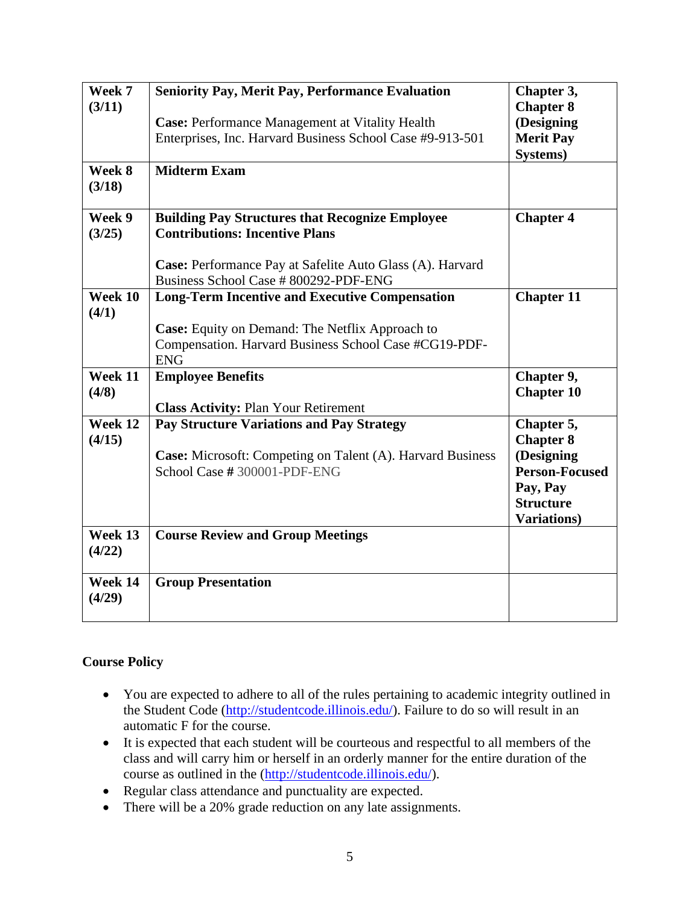| Week 7            | <b>Seniority Pay, Merit Pay, Performance Evaluation</b>           | Chapter 3,            |
|-------------------|-------------------------------------------------------------------|-----------------------|
| (3/11)            |                                                                   | <b>Chapter 8</b>      |
|                   | <b>Case: Performance Management at Vitality Health</b>            | (Designing            |
|                   | Enterprises, Inc. Harvard Business School Case #9-913-501         | <b>Merit Pay</b>      |
|                   |                                                                   | Systems)              |
| Week 8            | <b>Midterm Exam</b>                                               |                       |
| (3/18)            |                                                                   |                       |
|                   |                                                                   |                       |
| Week 9            | <b>Building Pay Structures that Recognize Employee</b>            | <b>Chapter 4</b>      |
| (3/25)            | <b>Contributions: Incentive Plans</b>                             |                       |
|                   |                                                                   |                       |
|                   | Case: Performance Pay at Safelite Auto Glass (A). Harvard         |                       |
|                   | Business School Case # 800292-PDF-ENG                             |                       |
| Week 10           | <b>Long-Term Incentive and Executive Compensation</b>             | <b>Chapter 11</b>     |
| (4/1)             |                                                                   |                       |
|                   | <b>Case:</b> Equity on Demand: The Netflix Approach to            |                       |
|                   | Compensation. Harvard Business School Case #CG19-PDF-             |                       |
|                   | <b>ENG</b>                                                        |                       |
| Week 11           | <b>Employee Benefits</b>                                          | Chapter 9,            |
| (4/8)             |                                                                   | <b>Chapter 10</b>     |
|                   | <b>Class Activity: Plan Your Retirement</b>                       |                       |
| Week 12           | <b>Pay Structure Variations and Pay Strategy</b>                  | Chapter 5,            |
| (4/15)            |                                                                   |                       |
|                   |                                                                   | <b>Chapter 8</b>      |
|                   | <b>Case:</b> Microsoft: Competing on Talent (A). Harvard Business | (Designing            |
|                   | School Case #300001-PDF-ENG                                       | <b>Person-Focused</b> |
|                   |                                                                   | Pay, Pay              |
|                   |                                                                   | <b>Structure</b>      |
|                   |                                                                   | <b>Variations</b> )   |
| Week 13           | <b>Course Review and Group Meetings</b>                           |                       |
| (4/22)            |                                                                   |                       |
|                   |                                                                   |                       |
| Week 14<br>(4/29) | <b>Group Presentation</b>                                         |                       |

## **Course Policy**

- You are expected to adhere to all of the rules pertaining to academic integrity outlined in the Student Code [\(http://studentcode.illinois.edu/\)](http://studentcode.illinois.edu/). Failure to do so will result in an automatic F for the course.
- It is expected that each student will be courteous and respectful to all members of the class and will carry him or herself in an orderly manner for the entire duration of the course as outlined in the [\(http://studentcode.illinois.edu/\)](http://studentcode.illinois.edu/).
- Regular class attendance and punctuality are expected.
- There will be a 20% grade reduction on any late assignments.